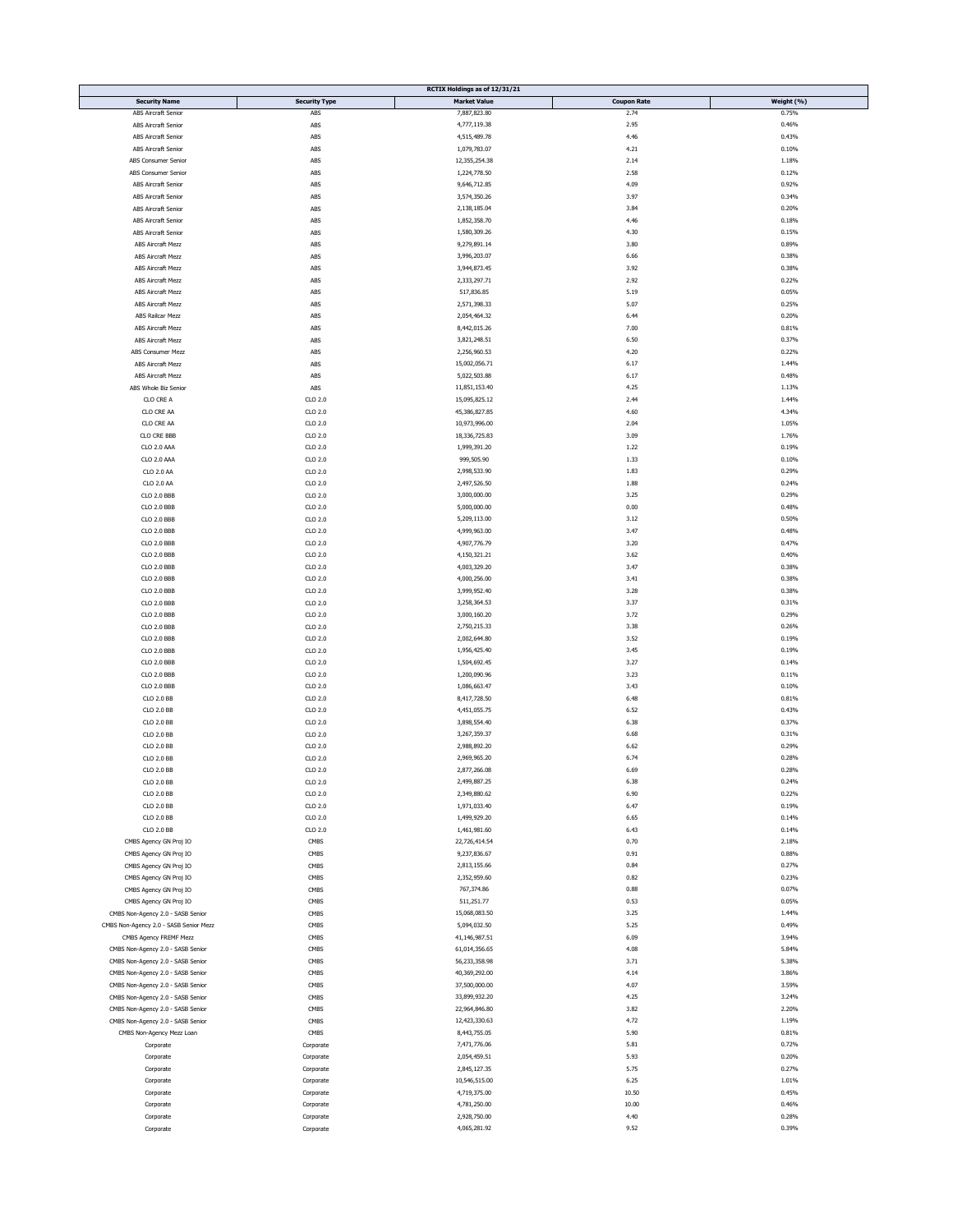|                                        |                      | RCTIX Holdings as of 12/31/21 |                    |            |
|----------------------------------------|----------------------|-------------------------------|--------------------|------------|
| <b>Security Name</b>                   | <b>Security Type</b> | <b>Market Value</b>           | <b>Coupon Rate</b> | Weight (%) |
| ABS Aircraft Senior                    | ABS                  | 7,887,823.80                  | 2.74               | 0.75%      |
|                                        |                      |                               |                    |            |
| ABS Aircraft Senior                    | ABS                  | 4,777,119.38                  | 2.95               | 0.46%      |
| <b>ABS Aircraft Senior</b>             | ABS                  | 4,515,489.78                  | 4.46               | 0.43%      |
| <b>ABS Aircraft Senior</b>             | ABS                  | 1,079,783.07                  | 4.21               | 0.10%      |
| ABS Consumer Senior                    | ABS                  | 12,355,254.38                 | 2.14               | 1.18%      |
|                                        |                      |                               |                    |            |
| ABS Consumer Senior                    | ABS                  | 1,224,778.50                  | 2.58               | 0.12%      |
| <b>ABS Aircraft Senior</b>             | ABS                  | 9,646,712.85                  | 4.09               | 0.92%      |
| <b>ABS Aircraft Senior</b>             | ABS                  | 3,574,350.26                  | 3.97               | 0.34%      |
| ABS Aircraft Senior                    | ABS                  | 2,138,185.04                  | 3.84               | 0.20%      |
|                                        |                      |                               |                    |            |
| ABS Aircraft Senior                    | ABS                  | 1,852,358.70                  | 4.46               | 0.18%      |
| <b>ABS Aircraft Senior</b>             | ABS                  | 1,580,309.26                  | 4.30               | 0.15%      |
| ABS Aircraft Mezz                      | ABS                  | 9,279,891.14                  | 3.80               | 0.89%      |
|                                        |                      |                               |                    |            |
| <b>ABS Aircraft Mezz</b>               | ABS                  | 3,996,203.07                  | 6.66               | 0.38%      |
| ABS Aircraft Mezz                      | ABS                  | 3,944,873.45                  | 3.92               | 0.38%      |
| <b>ABS Aircraft Mezz</b>               | ABS                  | 2,333,297.71                  | 2.92               | 0.22%      |
|                                        |                      |                               |                    |            |
| ABS Aircraft Mezz                      | ABS                  | 517,836.85                    | 5.19               | 0.05%      |
| <b>ABS Aircraft Mezz</b>               | ABS                  | 2,571,398.33                  | 5.07               | 0.25%      |
| ABS Railcar Mezz                       | ABS                  | 2,054,464.32                  | 6.44               | 0.20%      |
| ABS Aircraft Mezz                      | ABS                  | 8,442,015.26                  | 7.00               | 0.81%      |
|                                        |                      |                               |                    |            |
| <b>ABS Aircraft Mezz</b>               | ABS                  | 3,821,248.51                  | 6.50               | 0.37%      |
| ABS Consumer Mezz                      | ABS                  | 2,256,960.53                  | 4.20               | 0.22%      |
| ABS Aircraft Mezz                      | ABS                  | 15,002,056.71                 | 6.17               | 1.44%      |
|                                        |                      |                               |                    |            |
| ABS Aircraft Mezz                      | ABS                  | 5,022,503.88                  | 6.17               | 0.48%      |
| ABS Whole Biz Senior                   | ${\sf ABS}$          | 11,851,153.40                 | 4.25               | 1.13%      |
| CLO CRE A                              | $CLO$ $2.0$          | 15,095,825.12                 | 2.44               | 1.44%      |
| CLO CRE AA                             | $CLO$ $2.0$          | 45,386,827.85                 | 4.60               | 4.34%      |
|                                        |                      |                               |                    |            |
| CLO CRE AA                             | $CLO$ $2.0$          | 10,973,996.00                 | 2.04               | 1.05%      |
| CLO CRE BBB                            | $CLO$ $2.0$          | 18,336,725.83                 | 3.09               | 1.76%      |
| CLO 2.0 AAA                            | CLO 2.0              | 1,999,391.20                  | 1.22               | 0.19%      |
|                                        |                      |                               |                    |            |
| CLO 2.0 AAA                            | $CLO$ $2.0$          | 999,505.90                    | 1.33               | 0.10%      |
| CLO 2.0 AA                             | $CLO$ $2.0$          | 2,998,533.90                  | 1.83               | 0.29%      |
| CLO 2.0 AA                             | $CLO$ $2.0$          | 2,497,526.50                  | 1.88               | 0.24%      |
| <b>CLO 2.0 BBB</b>                     | $CLO$ $2.0$          | 3,000,000.00                  | 3.25               | 0.29%      |
|                                        |                      |                               |                    |            |
| <b>CLO 2.0 BBB</b>                     | $CLO$ $2.0$          | 5,000,000.00                  | 0.00               | 0.48%      |
| <b>CLO 2.0 BBB</b>                     | $CLO$ $2.0$          | 5,209,113.00                  | 3.12               | 0.50%      |
| CLO 2.0 BBB                            | $CLO$ $2.0$          | 4,999,963.00                  | 3.47               | 0.48%      |
|                                        |                      |                               |                    |            |
| <b>CLO 2.0 BBB</b>                     | CLO 2.0              | 4,907,776.79                  | 3.20               | 0.47%      |
| <b>CLO 2.0 BBB</b>                     | $CLO$ $2.0$          | 4,150,321.21                  | 3.62               | 0.40%      |
| CLO 2.0 BBB                            | $CLO$ $2.0$          | 4,003,329.20                  | 3.47               | 0.38%      |
| <b>CLO 2.0 BBB</b>                     | $CLO$ $2.0$          | 4,000,256.00                  | 3.41               | 0.38%      |
|                                        |                      |                               |                    |            |
| <b>CLO 2.0 BBB</b>                     | $CLO$ $2.0$          | 3,999,952.40                  | 3.28               | 0.38%      |
| <b>CLO 2.0 BBB</b>                     | $CLO$ $2.0$          | 3,258,364.53                  | 3.37               | 0.31%      |
| <b>CLO 2.0 BBB</b>                     | $CLO$ $2.0$          | 3,000,160.20                  | 3.72               | 0.29%      |
| <b>CLO 2.0 BBB</b>                     | $CLO$ $2.0$          | 2,750,215.33                  | 3.38               | 0.26%      |
|                                        |                      |                               |                    |            |
| <b>CLO 2.0 BBB</b>                     | $CLO$ $2.0$          | 2,002,644.80                  | 3.52               | 0.19%      |
| <b>CLO 2.0 BBB</b>                     | $CLO$ $2.0$          | 1,956,425.40                  | 3.45               | 0.19%      |
| <b>CLO 2.0 BBB</b>                     | $CLO$ $2.0$          | 1,504,692.45                  | 3.27               | 0.14%      |
|                                        |                      |                               |                    |            |
| <b>CLO 2.0 BBB</b>                     | $CLO$ $2.0$          | 1,200,090.96                  | 3.23               | 0.11%      |
| <b>CLO 2.0 BBB</b>                     | $CLO$ $2.0$          | 1,086,663.47                  | 3.43               | 0.10%      |
| CLO 2.0 BB                             | $CLO$ $2.0$          | 8,417,728.50                  | 6.48               | 0.81%      |
| CLO 2.0 BB                             | $CLO$ $2.0$          | 4,451,055.75                  | 6.52               | 0.43%      |
|                                        |                      |                               |                    |            |
| CLO 2.0 BB                             | $CLO$ $2.0$          | 3,898,554.40                  | 6.38               | 0.37%      |
| CLO 2.0 BB                             | $CLO$ $2.0$          | 3,267,359.37                  | 6.68               | 0.31%      |
| CLO 2.0 BB                             | $CLO$ $2.0$          | 2,988,892.20                  | 6.62               | 0.29%      |
| CLO 2.0 BB                             | $CLO$ $2.0$          | 2,969,965.20                  | 6.74               | 0.28%      |
|                                        |                      |                               |                    |            |
| CLO 2.0 BB                             | $CLO$ $2.0$          | 2,877,266.08                  | 6.69               | 0.28%      |
| CLO 2.0 BB                             | $CLO$ $2.0$          | 2,499,887.25                  | 6.38               | 0.24%      |
| CLO 2.0 BB                             | $CLO$ $2.0$          | 2,349,880.62                  | 6.90               | 0.22%      |
| CLO 2.0 BB                             | $CLO$ $2.0$          | 1,971,033.40                  | 6.47               | 0.19%      |
|                                        |                      |                               |                    |            |
| CLO 2.0 BB                             | CLO 2.0              | 1,499,929.20                  | 6.65               | 0.14%      |
| CLO 2.0 BB                             | $CLO$ $2.0$          | 1,461,981.60                  | 6.43               | 0.14%      |
| CMBS Agency GN Proj IO                 | CMBS                 | 22,726,414.54                 | 0.70               | 2.18%      |
|                                        | CMBS                 | 9,237,836.67                  | 0.91               | 0.88%      |
| CMBS Agency GN Proj IO                 |                      |                               |                    |            |
| CMBS Agency GN Proj IO                 | CMBS                 | 2,813,155.66                  | 0.84               | 0.27%      |
| CMBS Agency GN Proj IO                 | CMBS                 | 2,352,959.60                  | 0.82               | 0.23%      |
| CMBS Agency GN Proj IO                 | CMBS                 | 767,374.86                    | 0.88               | 0.07%      |
| CMBS Agency GN Proj IO                 | CMBS                 | 511,251.77                    | 0.53               | 0.05%      |
|                                        |                      |                               |                    |            |
| CMBS Non-Agency 2.0 - SASB Senior      | CMBS                 | 15,068,083.50                 | 3.25               | 1.44%      |
| CMBS Non-Agency 2.0 - SASB Senior Mezz | CMBS                 | 5,094,032.50                  | 5.25               | 0.49%      |
| CMBS Agency FREMF Mezz                 | CMBS                 | 41,146,987.51                 | 6.09               | 3.94%      |
| CMBS Non-Agency 2.0 - SASB Senior      | CMBS                 | 61,014,356.65                 | 4.08               | 5.84%      |
|                                        |                      |                               |                    |            |
| CMBS Non-Agency 2.0 - SASB Senior      | CMBS                 | 56,233,358.98                 | 3.71               | 5.38%      |
| CMBS Non-Agency 2.0 - SASB Senior      | CMBS                 | 40,369,292.00                 | 4.14               | 3.86%      |
| CMBS Non-Agency 2.0 - SASB Senior      | CMBS                 | 37,500,000.00                 | 4.07               | 3.59%      |
| CMBS Non-Agency 2.0 - SASB Senior      | CMBS                 | 33,899,932.20                 | 4.25               | 3.24%      |
|                                        |                      |                               |                    |            |
| CMBS Non-Agency 2.0 - SASB Senior      | CMBS                 | 22,964,846.80                 | 3.82               | 2.20%      |
| CMBS Non-Agency 2.0 - SASB Senior      | CMBS                 | 12,423,330.63                 | 4.72               | 1.19%      |
| CMBS Non-Agency Mezz Loan              | CMBS                 | 8,443,755.05                  | 5.90               | 0.81%      |
|                                        |                      |                               |                    |            |
| Corporate                              | Corporate            | 7,471,776.06                  | 5.81               | 0.72%      |
| Corporate                              | Corporate            | 2,054,459.51                  | 5.93               | 0.20%      |
| Corporate                              | Corporate            | 2,845,127.35                  | 5.75               | 0.27%      |
| Corporate                              | Corporate            | 10,546,515.00                 | 6.25               | 1.01%      |
|                                        |                      |                               |                    |            |
| Corporate                              | Corporate            | 4,719,375.00                  | 10.50              | 0.45%      |
| Corporate                              | Corporate            | 4,781,250.00                  | 10.00              | 0.46%      |
| Corporate                              | Corporate            | 2,928,750.00                  | 4.40               | 0.28%      |
|                                        |                      | 4,065,281.92                  | 9.52               | 0.39%      |
| Corporate                              | Corporate            |                               |                    |            |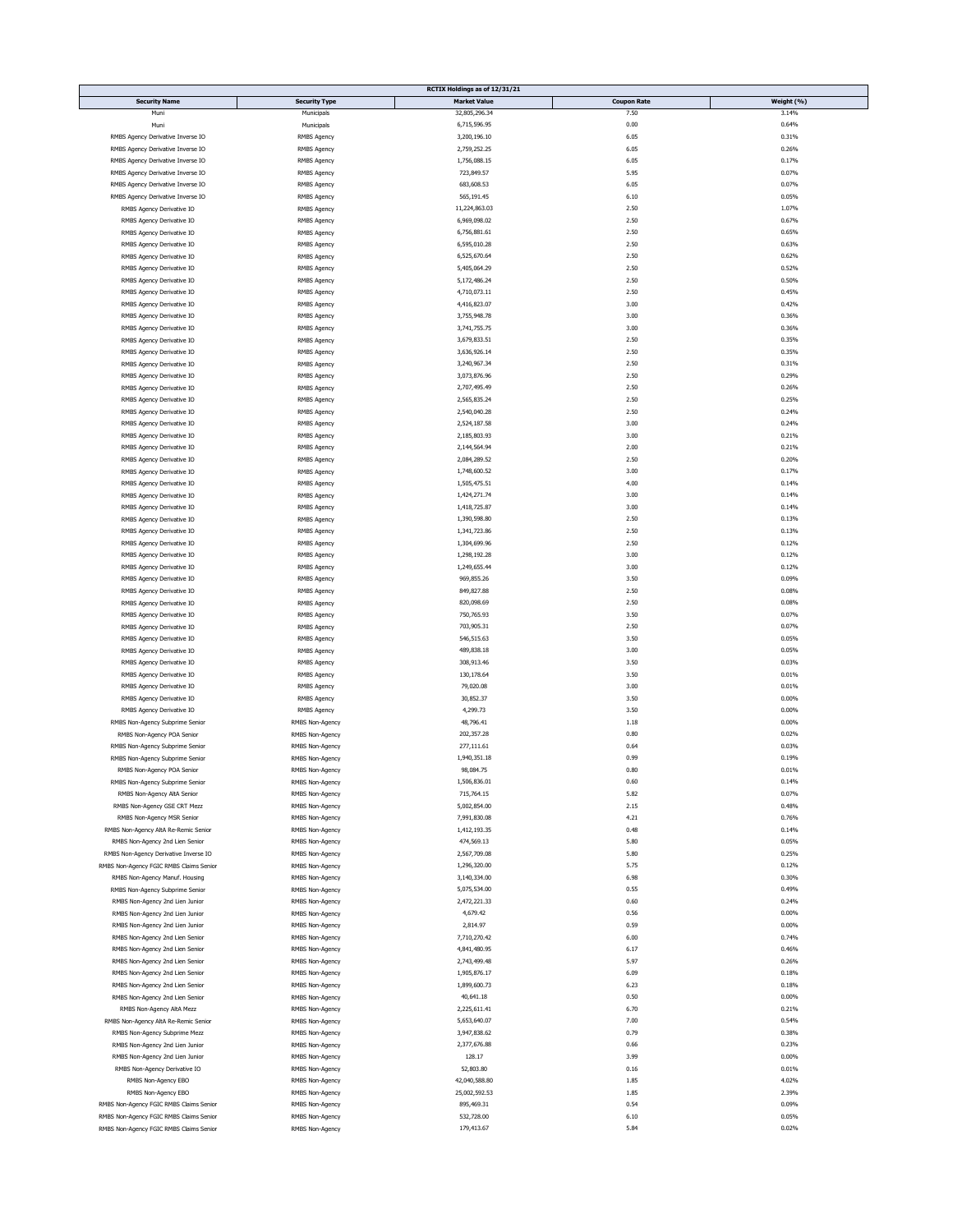|                                         |                      | RCTIX Holdings as of 12/31/21 |                    |            |
|-----------------------------------------|----------------------|-------------------------------|--------------------|------------|
| <b>Security Name</b>                    | <b>Security Type</b> | <b>Market Value</b>           | <b>Coupon Rate</b> | Weight (%) |
| Muni                                    | Municipals           | 32,805,296.34                 | 7.50               | 3.14%      |
| Mun                                     | Municipals           | 6,715,596.95                  | 0.00               | 0.64%      |
|                                         |                      |                               |                    |            |
| RMBS Agency Derivative Inverse IO       | <b>RMBS Agency</b>   | 3,200,196.10                  | 6.05               | 0.31%      |
| RMBS Agency Derivative Inverse IO       | RMBS Agency          | 2,759,252.25                  | 6.05               | 0.26%      |
| RMBS Agency Derivative Inverse IO       | RMBS Agency          | 1,756,088.15                  | 6.05               | 0.17%      |
|                                         |                      |                               |                    |            |
| RMBS Agency Derivative Inverse IO       | RMBS Agency          | 723,849.57                    | 5.95               | 0.07%      |
| RMBS Agency Derivative Inverse IO       | <b>RMBS Agency</b>   | 683,608.53                    | 6.05               | 0.07%      |
| RMBS Agency Derivative Inverse IO       | RMBS Agency          | 565,191.45                    | 6.10               | 0.05%      |
|                                         |                      |                               |                    |            |
| RMBS Agency Derivative IO               | <b>RMBS Agency</b>   | 11,224,863.03                 | 2.50               | 1.07%      |
| RMBS Agency Derivative IO               | RMBS Agency          | 6,969,098.02                  | 2.50               | 0.67%      |
| RMBS Agency Derivative IO               | <b>RMBS Agency</b>   | 6,756,881.61                  | 2.50               | 0.65%      |
|                                         |                      | 6,595,010.28                  | 2.50               | 0.63%      |
| RMBS Agency Derivative IO               | RMBS Agency          |                               |                    |            |
| RMBS Agency Derivative IO               | RMBS Agency          | 6,525,670.64                  | 2.50               | 0.62%      |
| RMBS Agency Derivative IO               | <b>RMBS Agency</b>   | 5,405,064.29                  | 2.50               | 0.52%      |
| RMBS Agency Derivative IO               |                      |                               |                    |            |
|                                         | RMBS Agency          | 5,172,486.24                  | 2.50               | 0.50%      |
| RMBS Agency Derivative IO               | <b>RMBS Agency</b>   | 4,710,073.11                  | 2.50               | 0.45%      |
| RMBS Agency Derivative IO               | <b>RMBS Agency</b>   | 4,416,823.07                  | 3.00               | 0.42%      |
|                                         |                      |                               |                    |            |
| RMBS Agency Derivative IO               | RMBS Agency          | 3,755,948.78                  | 3.00               | 0.36%      |
| RMBS Agency Derivative IO               | <b>RMBS Agency</b>   | 3,741,755.75                  | 3.00               | 0.36%      |
| RMBS Agency Derivative IO               | <b>RMBS Agency</b>   | 3,679,833.51                  | 2.50               | 0.35%      |
|                                         |                      |                               |                    |            |
| RMBS Agency Derivative IO               | RMBS Agency          | 3,636,926.14                  | 2.50               | 0.35%      |
| RMBS Agency Derivative IO               | RMBS Agency          | 3,240,967.34                  | 2.50               | 0.31%      |
| RMBS Agency Derivative IO               | RMBS Agency          | 3,073,876.96                  | 2.50               | 0.29%      |
|                                         |                      |                               |                    |            |
| RMBS Agency Derivative IO               | RMBS Agency          | 2,707,495.49                  | 2.50               | 0.26%      |
| RMBS Agency Derivative IO               | <b>RMBS Agency</b>   | 2,565,835.24                  | 2.50               | 0.25%      |
| RMBS Agency Derivative IO               | RMBS Agency          | 2,540,040.28                  | 2.50               | 0.24%      |
|                                         |                      |                               |                    |            |
| RMBS Agency Derivative IO               | <b>RMBS Agency</b>   | 2,524,187.58                  | 3.00               | 0.24%      |
| RMBS Agency Derivative IO               | RMBS Agency          | 2,185,803.93                  | 3.00               | 0.21%      |
| RMBS Agency Derivative IO               | RMBS Agency          | 2,144,564.94                  | 2.00               | 0.21%      |
|                                         |                      |                               |                    |            |
| RMBS Agency Derivative IO               | RMBS Agency          | 2,084,289.52                  | 2.50               | 0.20%      |
| RMBS Agency Derivative IO               | <b>RMBS Agency</b>   | 1,748,600.52                  | 3.00               | 0.17%      |
| RMBS Agency Derivative IO               |                      |                               |                    |            |
|                                         | RMBS Agency          | 1,505,475.51                  | 4.00               | 0.14%      |
| RMBS Agency Derivative IO               | RMBS Agency          | 1,424,271.74                  | 3.00               | 0.14%      |
| RMBS Agency Derivative IO               | RMBS Agency          | 1,418,725.87                  | 3.00               | 0.14%      |
|                                         |                      |                               |                    |            |
| RMBS Agency Derivative IO               | RMBS Agency          | 1,390,598.80                  | 2.50               | 0.13%      |
| RMBS Agency Derivative IO               | <b>RMBS Agency</b>   | 1,341,723.86                  | 2.50               | 0.13%      |
| RMBS Agency Derivative IO               | RMBS Agency          | 1,304,699.96                  | 2.50               | 0.12%      |
|                                         |                      |                               |                    |            |
| RMBS Agency Derivative IO               | RMBS Agency          | 1,298,192.28                  | 3.00               | 0.12%      |
| RMBS Agency Derivative IO               | RMBS Agency          | 1,249,655.44                  | 3.00               | 0.12%      |
| RMBS Agency Derivative IO               | RMBS Agency          | 969,855.26                    | 3.50               | 0.09%      |
|                                         |                      |                               |                    |            |
| RMBS Agency Derivative IO               | RMBS Agency          | 849,827.88                    | 2.50               | 0.08%      |
| RMBS Agency Derivative IO               | RMBS Agency          | 820,098.69                    | 2.50               | 0.08%      |
| RMBS Agency Derivative IO               | <b>RMBS Agency</b>   | 750,765.93                    | 3.50               | 0.07%      |
|                                         |                      |                               |                    |            |
| RMBS Agency Derivative IO               | <b>RMBS Agency</b>   | 703,905.31                    | 2.50               | 0.07%      |
| RMBS Agency Derivative IO               | RMBS Agency          | 546,515.63                    | 3.50               | 0.05%      |
| RMBS Agency Derivative IO               |                      |                               | 3.00               | 0.05%      |
|                                         | RMBS Agency          | 489,838.18                    |                    |            |
| RMBS Agency Derivative IO               | RMBS Agency          | 308,913.46                    | 3.50               | 0.03%      |
| RMBS Agency Derivative IO               | RMBS Agency          | 130,178.64                    | 3.50               | 0.01%      |
| RMBS Agency Derivative IO               | RMBS Agency          | 79,020.08                     | 3.00               | 0.01%      |
|                                         |                      |                               |                    |            |
| RMBS Agency Derivative IO               | <b>RMBS Agency</b>   | 30,852.37                     | 3.50               | 0.00%      |
| RMBS Agency Derivative IO               | <b>RMBS Agency</b>   | 4,299.73                      | 3.50               | 0.00%      |
| RMBS Non-Agency Subprime Senior         | RMBS Non-Agency      | 48,796.41                     | 1.18               | 0.00%      |
|                                         |                      |                               |                    |            |
| RMBS Non-Agency POA Senior              | RMBS Non-Agency      | 202,357.28                    | 0.80               | 0.02%      |
| RMBS Non-Agency Subprime Senior         | RMBS Non-Agency      | 277,111.61                    | 0.64               | 0.03%      |
|                                         |                      | 1,940,351.18                  | 0.99               | 0.19%      |
| RMBS Non-Agency Subprime Senior         | RMBS Non-Agency      |                               |                    |            |
| RMBS Non-Agency POA Senior              | RMBS Non-Agency      | 98,084.75                     | 0.80               | 0.01%      |
| RMBS Non-Agency Subprime Senior         | RMBS Non-Agency      | 1,506,836.01                  | 0.60               | 0.14%      |
| RMBS Non-Agency AltA Senior             | RMBS Non-Agency      | 715,764.15                    | 5.82               | 0.07%      |
|                                         |                      |                               |                    |            |
| RMBS Non-Agency GSE CRT Mezz            | RMBS Non-Agency      | 5,002,854.00                  | 2.15               | 0.48%      |
| RMBS Non-Agency MSR Senior              | RMBS Non-Agency      | 7,991,830.08                  | 4.21               | 0.76%      |
| RMBS Non-Agency AltA Re-Remic Senior    | RMBS Non-Agency      | 1,412,193.35                  | 0.48               | 0.14%      |
|                                         |                      |                               |                    |            |
| RMBS Non-Agency 2nd Lien Senior         | RMBS Non-Agency      | 474,569.13                    | 5.80               | 0.05%      |
| RMBS Non-Agency Derivative Inverse IO   | RMBS Non-Agency      | 2,567,709.08                  | 5.80               | 0.25%      |
| RMBS Non-Agency FGIC RMBS Claims Senior | RMBS Non-Agency      | 1,296,320.00                  | 5.75               | 0.12%      |
|                                         |                      |                               |                    |            |
| RMBS Non-Agency Manuf. Housing          | RMBS Non-Agency      | 3,140,334.00                  | 6.98               | 0.30%      |
| RMBS Non-Agency Subprime Senior         | RMBS Non-Agency      | 5,075,534.00                  | 0.55               | 0.49%      |
| RMBS Non-Agency 2nd Lien Junior         | RMBS Non-Agency      | 2,472,221.33                  | 0.60               | 0.24%      |
|                                         |                      |                               |                    |            |
| RMBS Non-Agency 2nd Lien Junior         | RMBS Non-Agency      | 4,679.42                      | 0.56               | 0.00%      |
| RMBS Non-Agency 2nd Lien Junior         | RMBS Non-Agency      | 2,814.97                      | 0.59               | 0.00%      |
|                                         |                      |                               |                    |            |
| RMBS Non-Agency 2nd Lien Senior         | RMBS Non-Agency      | 7,710,270.42                  | 6.00               | 0.74%      |
| RMBS Non-Agency 2nd Lien Senior         | RMBS Non-Agency      | 4,841,480.95                  | 6.17               | 0.46%      |
| RMBS Non-Agency 2nd Lien Senior         | RMBS Non-Agency      | 2,743,499.48                  | 5.97               | 0.26%      |
|                                         |                      |                               |                    |            |
| RMBS Non-Agency 2nd Lien Senior         | RMBS Non-Agency      | 1,905,876.17                  | 6.09               | 0.18%      |
| RMBS Non-Agency 2nd Lien Senior         | RMBS Non-Agency      | 1,899,600.73                  | 6.23               | 0.18%      |
| RMBS Non-Agency 2nd Lien Senior         | RMBS Non-Agency      | 40,641.18                     | 0.50               | 0.00%      |
|                                         |                      |                               |                    |            |
| RMBS Non-Agency AltA Mezz               | RMBS Non-Agency      | 2,225,611.41                  | 6.70               | 0.21%      |
| RMBS Non-Agency AltA Re-Remic Senior    | RMBS Non-Agency      | 5,653,640.07                  | 7.00               | 0.54%      |
| RMBS Non-Agency Subprime Mezz           | RMBS Non-Agency      | 3,947,838.62                  | 0.79               | 0.38%      |
|                                         |                      |                               |                    |            |
| RMBS Non-Agency 2nd Lien Junior         | RMBS Non-Agency      | 2,377,676.88                  | 0.66               | 0.23%      |
| RMBS Non-Agency 2nd Lien Junior         | RMBS Non-Agency      | 128.17                        | 3.99               | 0.00%      |
| RMBS Non-Agency Derivative IO           | RMBS Non-Agency      | 52,803.80                     | 0.16               | 0.01%      |
|                                         |                      |                               |                    |            |
| RMBS Non-Agency EBO                     | RMBS Non-Agency      | 42,040,588.80                 | 1.85               | 4.02%      |
| RMBS Non-Agency EBO                     | RMBS Non-Agency      | 25,002,592.53                 | 1.85               | 2.39%      |
| RMBS Non-Agency FGIC RMBS Claims Senior |                      | 895,469.31                    | 0.54               | 0.09%      |
|                                         | RMBS Non-Agency      |                               |                    |            |
| RMBS Non-Agency FGIC RMBS Claims Senior | RMBS Non-Agency      | 532,728.00                    | 6.10               | 0.05%      |
| RMBS Non-Agency FGIC RMBS Claims Senior | RMBS Non-Agency      | 179,413.67                    | 5.84               | 0.02%      |